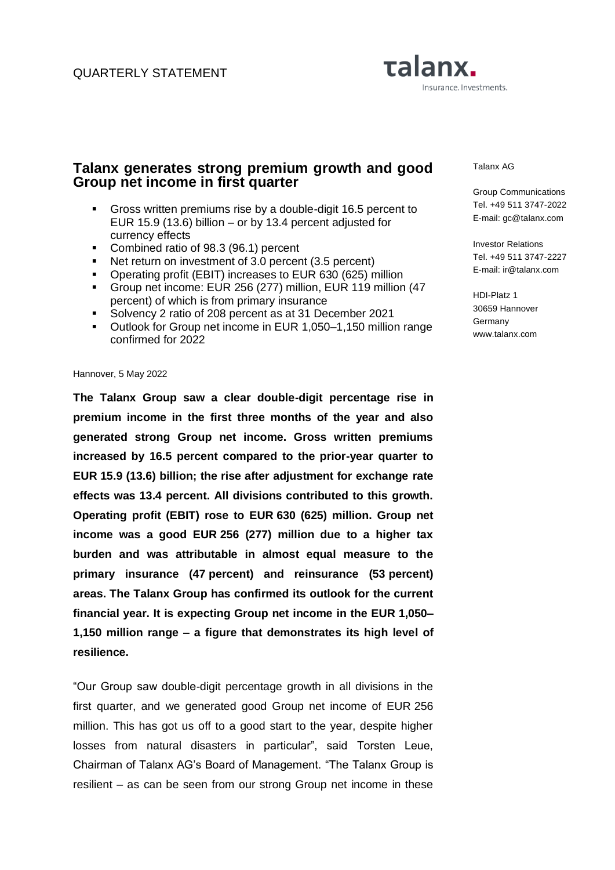# Talanx. Insurance. Investments.

# **Talanx generates strong premium growth and good Group net income in first quarter**

- Gross written premiums rise by a double-digit 16.5 percent to EUR 15.9 (13.6) billion – or by 13.4 percent adjusted for currency effects
- Combined ratio of 98.3 (96.1) percent
- Net return on investment of 3.0 percent (3.5 percent)
- Operating profit (EBIT) increases to EUR 630 (625) million
- Group net income: EUR 256 (277) million, EUR 119 million (47 percent) of which is from primary insurance
- Solvency 2 ratio of 208 percent as at 31 December 2021
- Outlook for Group net income in EUR 1,050–1,150 million range confirmed for 2022

#### Hannover, 5 May 2022

**The Talanx Group saw a clear double-digit percentage rise in premium income in the first three months of the year and also generated strong Group net income. Gross written premiums increased by 16.5 percent compared to the prior-year quarter to EUR 15.9 (13.6) billion; the rise after adjustment for exchange rate effects was 13.4 percent. All divisions contributed to this growth. Operating profit (EBIT) rose to EUR 630 (625) million. Group net income was a good EUR 256 (277) million due to a higher tax burden and was attributable in almost equal measure to the primary insurance (47 percent) and reinsurance (53 percent) areas. The Talanx Group has confirmed its outlook for the current financial year. It is expecting Group net income in the EUR 1,050– 1,150 million range – a figure that demonstrates its high level of resilience.** 

"Our Group saw double-digit percentage growth in all divisions in the first quarter, and we generated good Group net income of EUR 256 million. This has got us off to a good start to the year, despite higher losses from natural disasters in particular", said Torsten Leue, Chairman of Talanx AG's Board of Management. "The Talanx Group is resilient – as can be seen from our strong Group net income in these Talanx AG

Group Communications Tel. +49 511 3747-2022 E-mail: gc@talanx.com

Investor Relations Tel. +49 511 3747-2227 E-mail: ir@talanx.com

HDI-Platz 1 30659 Hannover Germany www.talanx.com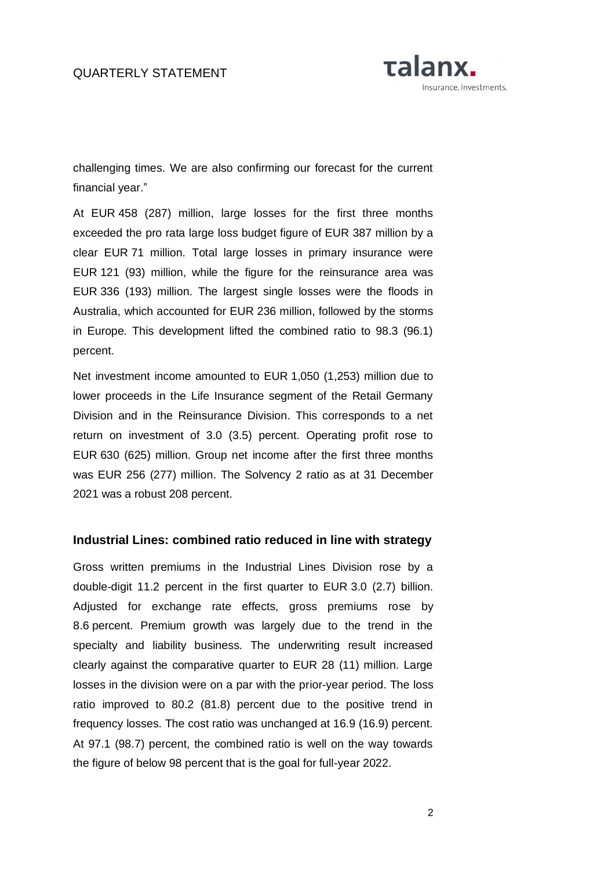

challenging times. We are also confirming our forecast for the current financial year."

At EUR 458 (287) million, large losses for the first three months exceeded the pro rata large loss budget figure of EUR 387 million by a clear EUR 71 million. Total large losses in primary insurance were EUR 121 (93) million, while the figure for the reinsurance area was EUR 336 (193) million. The largest single losses were the floods in Australia, which accounted for EUR 236 million, followed by the storms in Europe. This development lifted the combined ratio to 98.3 (96.1) percent.

Net investment income amounted to EUR 1,050 (1,253) million due to lower proceeds in the Life Insurance segment of the Retail Germany Division and in the Reinsurance Division. This corresponds to a net return on investment of 3.0 (3.5) percent. Operating profit rose to EUR 630 (625) million. Group net income after the first three months was EUR 256 (277) million. The Solvency 2 ratio as at 31 December 2021 was a robust 208 percent.

### **Industrial Lines: combined ratio reduced in line with strategy**

Gross written premiums in the Industrial Lines Division rose by a double-digit 11.2 percent in the first quarter to EUR 3.0 (2.7) billion. Adjusted for exchange rate effects, gross premiums rose by 8.6 percent. Premium growth was largely due to the trend in the specialty and liability business. The underwriting result increased clearly against the comparative quarter to EUR 28 (11) million. Large losses in the division were on a par with the prior-year period. The loss ratio improved to 80.2 (81.8) percent due to the positive trend in frequency losses. The cost ratio was unchanged at 16.9 (16.9) percent. At 97.1 (98.7) percent, the combined ratio is well on the way towards the figure of below 98 percent that is the goal for full-year 2022.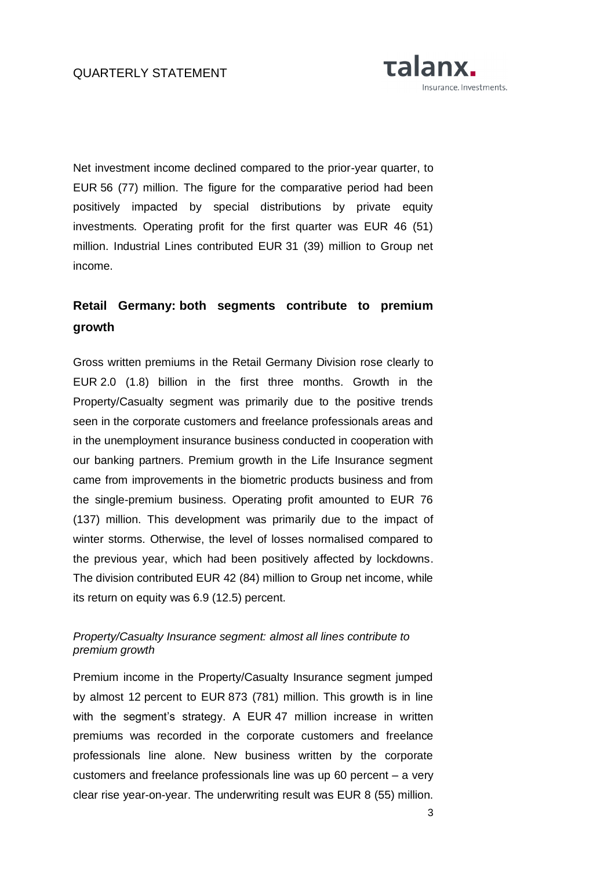

Net investment income declined compared to the prior-year quarter, to EUR 56 (77) million. The figure for the comparative period had been positively impacted by special distributions by private equity investments. Operating profit for the first quarter was EUR 46 (51) million. Industrial Lines contributed EUR 31 (39) million to Group net income.

# **Retail Germany: both segments contribute to premium growth**

Gross written premiums in the Retail Germany Division rose clearly to EUR 2.0 (1.8) billion in the first three months. Growth in the Property/Casualty segment was primarily due to the positive trends seen in the corporate customers and freelance professionals areas and in the unemployment insurance business conducted in cooperation with our banking partners. Premium growth in the Life Insurance segment came from improvements in the biometric products business and from the single-premium business. Operating profit amounted to EUR 76 (137) million. This development was primarily due to the impact of winter storms. Otherwise, the level of losses normalised compared to the previous year, which had been positively affected by lockdowns. The division contributed EUR 42 (84) million to Group net income, while its return on equity was 6.9 (12.5) percent.

## *Property/Casualty Insurance segment: almost all lines contribute to premium growth*

Premium income in the Property/Casualty Insurance segment jumped by almost 12 percent to EUR 873 (781) million. This growth is in line with the segment's strategy. A EUR 47 million increase in written premiums was recorded in the corporate customers and freelance professionals line alone. New business written by the corporate customers and freelance professionals line was up 60 percent – a very clear rise year-on-year. The underwriting result was EUR 8 (55) million.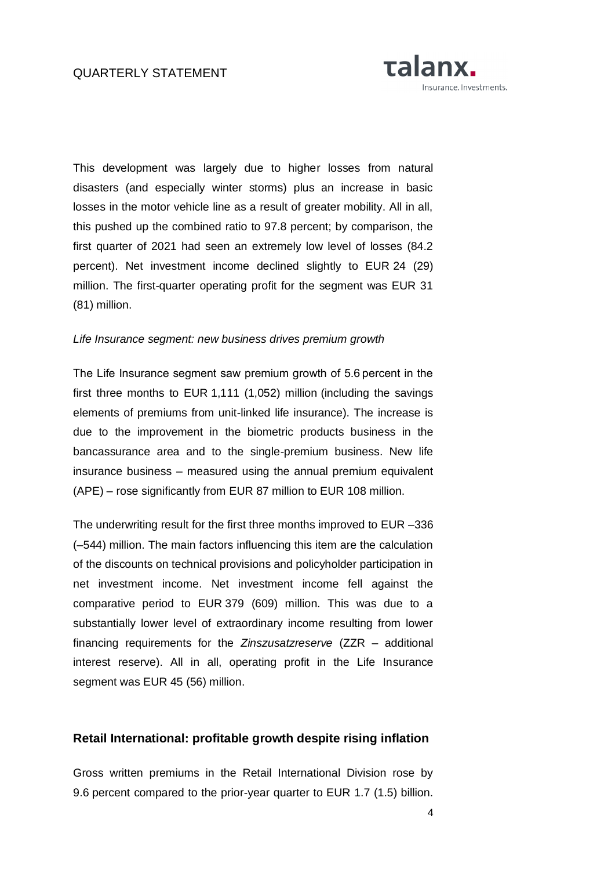

This development was largely due to higher losses from natural disasters (and especially winter storms) plus an increase in basic losses in the motor vehicle line as a result of greater mobility. All in all, this pushed up the combined ratio to 97.8 percent; by comparison, the first quarter of 2021 had seen an extremely low level of losses (84.2 percent). Net investment income declined slightly to EUR 24 (29) million. The first-quarter operating profit for the segment was EUR 31 (81) million.

#### *Life Insurance segment: new business drives premium growth*

The Life Insurance segment saw premium growth of 5.6 percent in the first three months to EUR 1,111 (1,052) million (including the savings elements of premiums from unit-linked life insurance). The increase is due to the improvement in the biometric products business in the bancassurance area and to the single-premium business. New life insurance business – measured using the annual premium equivalent (APE) – rose significantly from EUR 87 million to EUR 108 million.

The underwriting result for the first three months improved to EUR –336 (–544) million. The main factors influencing this item are the calculation of the discounts on technical provisions and policyholder participation in net investment income. Net investment income fell against the comparative period to EUR 379 (609) million. This was due to a substantially lower level of extraordinary income resulting from lower financing requirements for the *Zinszusatzreserve* (ZZR – additional interest reserve). All in all, operating profit in the Life Insurance segment was EUR 45 (56) million.

### **Retail International: profitable growth despite rising inflation**

Gross written premiums in the Retail International Division rose by 9.6 percent compared to the prior-year quarter to EUR 1.7 (1.5) billion.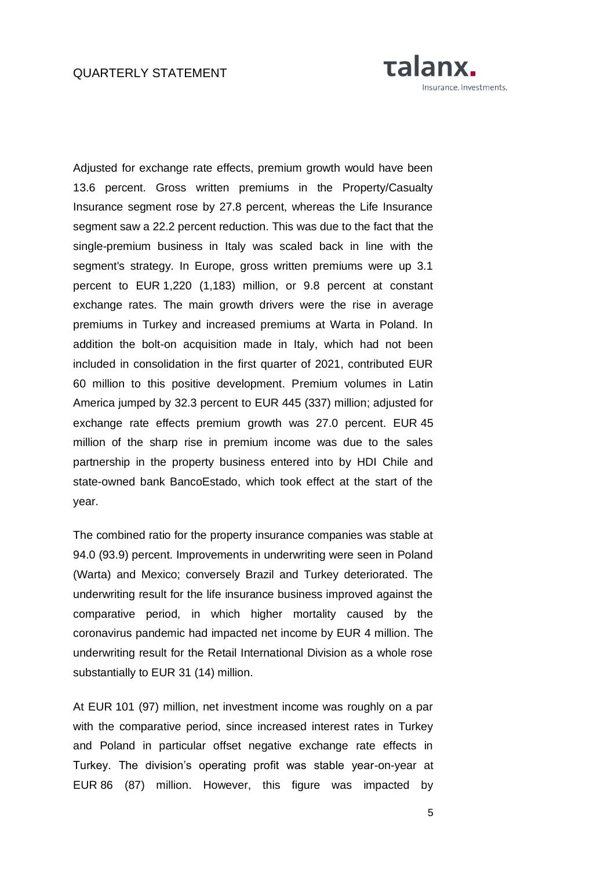

Adjusted for exchange rate effects, premium growth would have been 13.6 percent. Gross written premiums in the Property/Casualty Insurance segment rose by 27.8 percent, whereas the Life Insurance segment saw a 22.2 percent reduction. This was due to the fact that the single-premium business in Italy was scaled back in line with the segment's strategy. In Europe, gross written premiums were up 3.1 percent to EUR 1,220 (1,183) million, or 9.8 percent at constant exchange rates. The main growth drivers were the rise in average premiums in Turkey and increased premiums at Warta in Poland. In addition the bolt-on acquisition made in Italy, which had not been included in consolidation in the first quarter of 2021, contributed EUR 60 million to this positive development. Premium volumes in Latin America jumped by 32.3 percent to EUR 445 (337) million; adjusted for exchange rate effects premium growth was 27.0 percent. EUR 45 million of the sharp rise in premium income was due to the sales partnership in the property business entered into by HDI Chile and state-owned bank BancoEstado, which took effect at the start of the year.

The combined ratio for the property insurance companies was stable at 94.0 (93.9) percent. Improvements in underwriting were seen in Poland (Warta) and Mexico; conversely Brazil and Turkey deteriorated. The underwriting result for the life insurance business improved against the comparative period, in which higher mortality caused by the coronavirus pandemic had impacted net income by EUR 4 million. The underwriting result for the Retail International Division as a whole rose substantially to EUR 31 (14) million.

At EUR 101 (97) million, net investment income was roughly on a par with the comparative period, since increased interest rates in Turkey and Poland in particular offset negative exchange rate effects in Turkey. The division's operating profit was stable year-on-year at EUR 86 (87) million. However, this figure was impacted by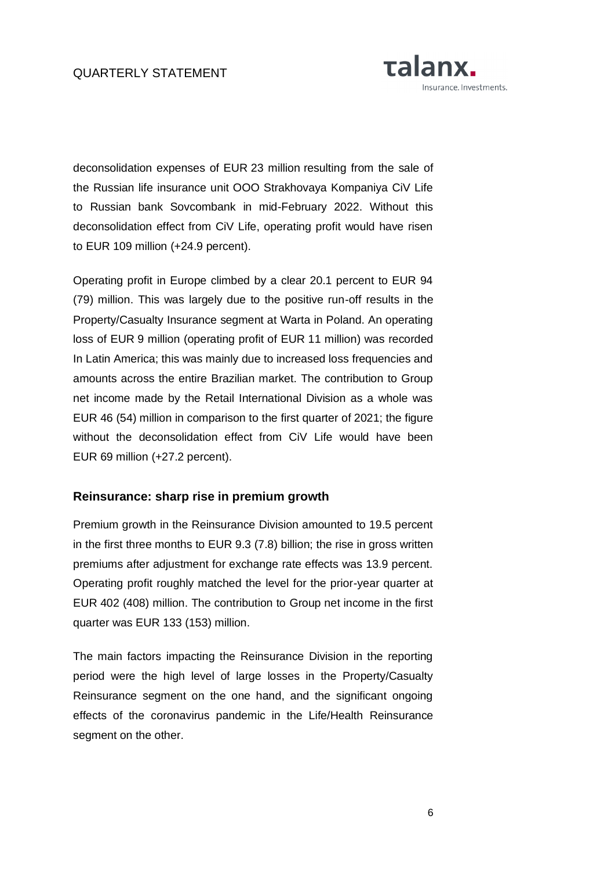

deconsolidation expenses of EUR 23 million resulting from the sale of the Russian life insurance unit OOO Strakhovaya Kompaniya CiV Life to Russian bank Sovcombank in mid-February 2022. Without this deconsolidation effect from CiV Life, operating profit would have risen to EUR 109 million (+24.9 percent).

Operating profit in Europe climbed by a clear 20.1 percent to EUR 94 (79) million. This was largely due to the positive run-off results in the Property/Casualty Insurance segment at Warta in Poland. An operating loss of EUR 9 million (operating profit of EUR 11 million) was recorded In Latin America; this was mainly due to increased loss frequencies and amounts across the entire Brazilian market. The contribution to Group net income made by the Retail International Division as a whole was EUR 46 (54) million in comparison to the first quarter of 2021; the figure without the deconsolidation effect from CiV Life would have been EUR 69 million (+27.2 percent).

## **Reinsurance: sharp rise in premium growth**

Premium growth in the Reinsurance Division amounted to 19.5 percent in the first three months to EUR 9.3 (7.8) billion; the rise in gross written premiums after adjustment for exchange rate effects was 13.9 percent. Operating profit roughly matched the level for the prior-year quarter at EUR 402 (408) million. The contribution to Group net income in the first quarter was EUR 133 (153) million.

The main factors impacting the Reinsurance Division in the reporting period were the high level of large losses in the Property/Casualty Reinsurance segment on the one hand, and the significant ongoing effects of the coronavirus pandemic in the Life/Health Reinsurance segment on the other.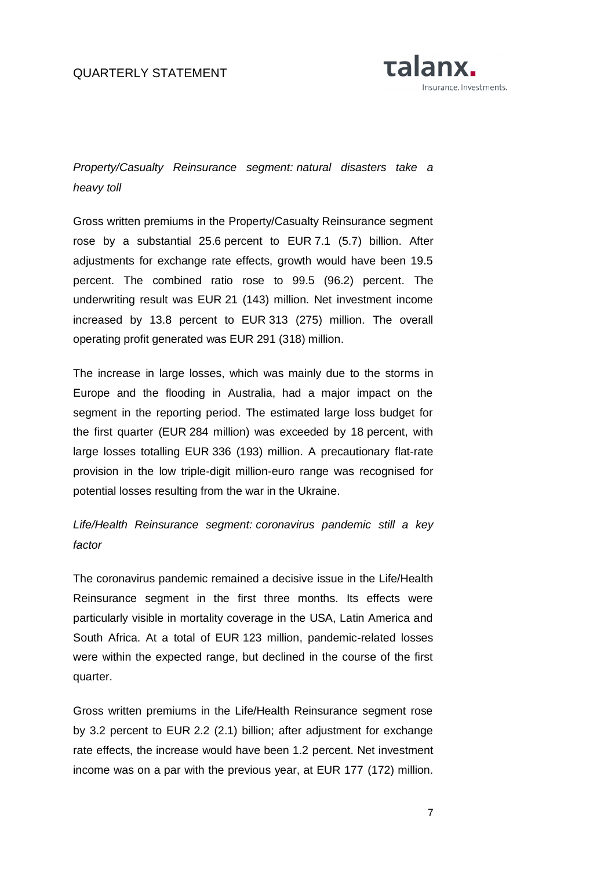### QUARTERLY STATEMENT



*Property/Casualty Reinsurance segment: natural disasters take a heavy toll*

Gross written premiums in the Property/Casualty Reinsurance segment rose by a substantial 25.6 percent to EUR 7.1 (5.7) billion. After adjustments for exchange rate effects, growth would have been 19.5 percent. The combined ratio rose to 99.5 (96.2) percent. The underwriting result was EUR 21 (143) million. Net investment income increased by 13.8 percent to EUR 313 (275) million. The overall operating profit generated was EUR 291 (318) million.

The increase in large losses, which was mainly due to the storms in Europe and the flooding in Australia, had a major impact on the segment in the reporting period. The estimated large loss budget for the first quarter (EUR 284 million) was exceeded by 18 percent, with large losses totalling EUR 336 (193) million. A precautionary flat-rate provision in the low triple-digit million-euro range was recognised for potential losses resulting from the war in the Ukraine.

*Life/Health Reinsurance segment: coronavirus pandemic still a key factor*

The coronavirus pandemic remained a decisive issue in the Life/Health Reinsurance segment in the first three months. Its effects were particularly visible in mortality coverage in the USA, Latin America and South Africa. At a total of EUR 123 million, pandemic-related losses were within the expected range, but declined in the course of the first quarter.

Gross written premiums in the Life/Health Reinsurance segment rose by 3.2 percent to EUR 2.2 (2.1) billion; after adjustment for exchange rate effects, the increase would have been 1.2 percent. Net investment income was on a par with the previous year, at EUR 177 (172) million.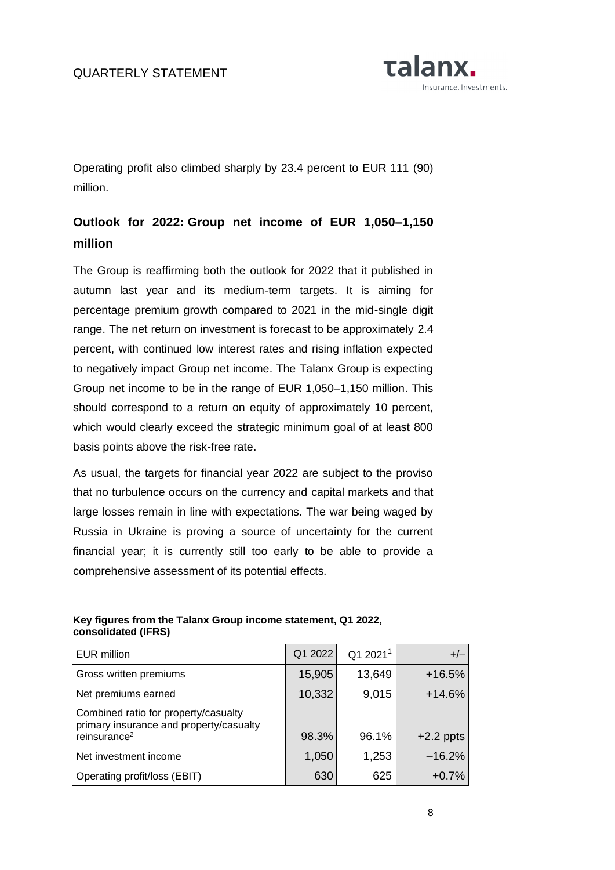

Operating profit also climbed sharply by 23.4 percent to EUR 111 (90) million.

# **Outlook for 2022: Group net income of EUR 1,050–1,150 million**

The Group is reaffirming both the outlook for 2022 that it published in autumn last year and its medium-term targets. It is aiming for percentage premium growth compared to 2021 in the mid-single digit range. The net return on investment is forecast to be approximately 2.4 percent, with continued low interest rates and rising inflation expected to negatively impact Group net income. The Talanx Group is expecting Group net income to be in the range of EUR 1,050–1,150 million. This should correspond to a return on equity of approximately 10 percent, which would clearly exceed the strategic minimum goal of at least 800 basis points above the risk-free rate.

As usual, the targets for financial year 2022 are subject to the proviso that no turbulence occurs on the currency and capital markets and that large losses remain in line with expectations. The war being waged by Russia in Ukraine is proving a source of uncertainty for the current financial year; it is currently still too early to be able to provide a comprehensive assessment of its potential effects.

| <b>EUR million</b>                                                                                          | Q1 2022 | Q1 2021 <sup>1</sup> | $+/-$       |
|-------------------------------------------------------------------------------------------------------------|---------|----------------------|-------------|
| Gross written premiums                                                                                      | 15,905  | 13,649               | $+16.5%$    |
| Net premiums earned                                                                                         | 10,332  | 9,015                | $+14.6%$    |
| Combined ratio for property/casualty<br>primary insurance and property/casualty<br>reinsurance <sup>2</sup> | 98.3%   | 96.1%                | $+2.2$ ppts |
| Net investment income                                                                                       | 1,050   | 1,253                | $-16.2%$    |
| Operating profit/loss (EBIT)                                                                                | 630     | 625                  | $+0.7%$     |

### **Key figures from the Talanx Group income statement, Q1 2022, consolidated (IFRS)**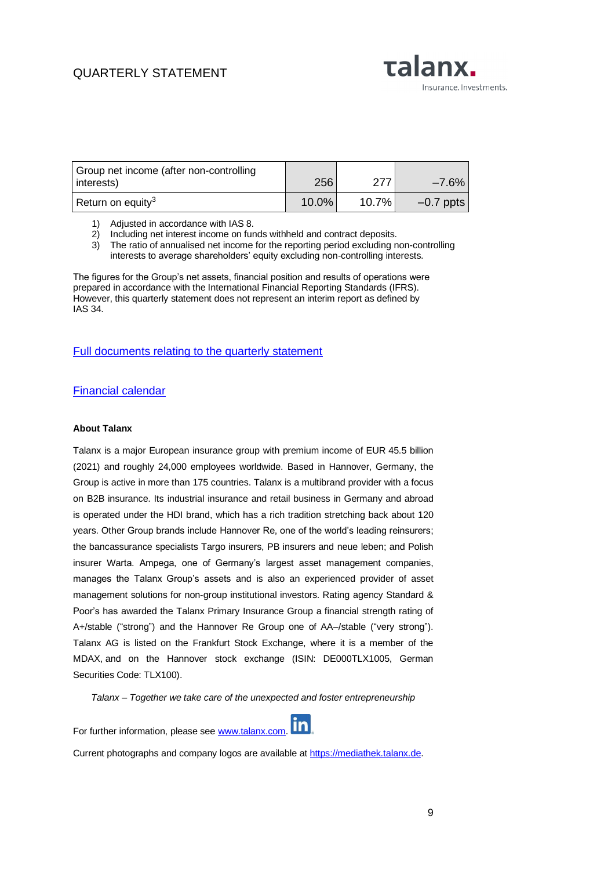## QUARTERLY STATEMENT

Talanx. Insurance. Investments.

| Group net income (after non-controlling<br>interests) | 256   | 277      | $-7.6\%$    |
|-------------------------------------------------------|-------|----------|-------------|
| Return on equity <sup>3</sup>                         | 10.0% | $10.7\%$ | $-0.7$ ppts |

- 1) Adjusted in accordance with IAS 8.
- 2) Including net interest income on funds withheld and contract deposits.
- 3) The ratio of annualised net income for the reporting period excluding non-controlling interests to average shareholders' equity excluding non-controlling interests.

The figures for the Group's net assets, financial position and results of operations were prepared in accordance with the International Financial Reporting Standards (IFRS). However, this quarterly statement does not represent an interim report as defined by IAS 34.

#### [Full documents relating to the quarterly statement](https://www.talanx.com/en/investor_relations/reporting/reporting)

#### [Financial calendar](https://www.talanx.com/en/investor_relations/agm_-_events/financial_calendar?year=2022)

#### **About Talanx**

Talanx is a major European insurance group with premium income of EUR 45.5 billion (2021) and roughly 24,000 employees worldwide. Based in Hannover, Germany, the Group is active in more than 175 countries. Talanx is a multibrand provider with a focus on B2B insurance. Its industrial insurance and retail business in Germany and abroad is operated under the HDI brand, which has a rich tradition stretching back about 120 years. Other Group brands include Hannover Re, one of the world's leading reinsurers; the bancassurance specialists Targo insurers, PB insurers and neue leben; and Polish insurer Warta. Ampega, one of Germany's largest asset management companies, manages the Talanx Group's assets and is also an experienced provider of asset management solutions for non-group institutional investors. Rating agency Standard & Poor's has awarded the Talanx Primary Insurance Group a financial strength rating of A+/stable ("strong") and the Hannover Re Group one of AA–/stable ("very strong"). Talanx AG is listed on the Frankfurt Stock Exchange, where it is a member of the MDAX, and on the Hannover stock exchange (ISIN: DE000TLX1005, German Securities Code: TLX100).

*Talanx – Together we take care of the unexpected and foster entrepreneurship*

For further information, please see [www.talanx.com.](http://www.talanx.com/)

Current photographs and company logos are available at [https://mediathek.talanx.de.](https://mediathek.talanx.de/)